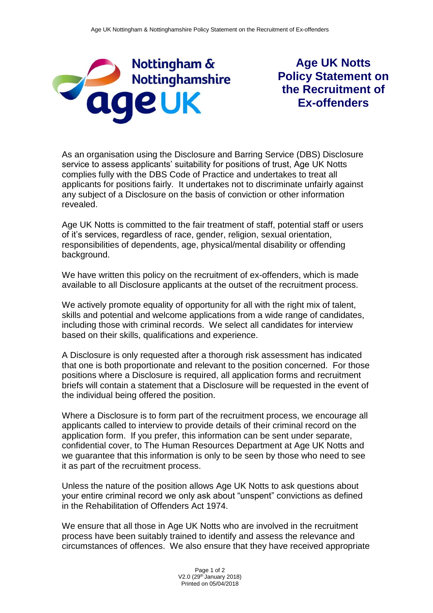

**Age UK Notts Policy Statement on the Recruitment of Ex-offenders**

As an organisation using the Disclosure and Barring Service (DBS) Disclosure service to assess applicants' suitability for positions of trust, Age UK Notts complies fully with the DBS Code of Practice and undertakes to treat all applicants for positions fairly. It undertakes not to discriminate unfairly against any subject of a Disclosure on the basis of conviction or other information revealed.

Age UK Notts is committed to the fair treatment of staff, potential staff or users of it's services, regardless of race, gender, religion, sexual orientation, responsibilities of dependents, age, physical/mental disability or offending background.

We have written this policy on the recruitment of ex-offenders, which is made available to all Disclosure applicants at the outset of the recruitment process.

We actively promote equality of opportunity for all with the right mix of talent, skills and potential and welcome applications from a wide range of candidates, including those with criminal records. We select all candidates for interview based on their skills, qualifications and experience.

A Disclosure is only requested after a thorough risk assessment has indicated that one is both proportionate and relevant to the position concerned. For those positions where a Disclosure is required, all application forms and recruitment briefs will contain a statement that a Disclosure will be requested in the event of the individual being offered the position.

Where a Disclosure is to form part of the recruitment process, we encourage all applicants called to interview to provide details of their criminal record on the application form. If you prefer, this information can be sent under separate, confidential cover, to The Human Resources Department at Age UK Notts and we guarantee that this information is only to be seen by those who need to see it as part of the recruitment process.

Unless the nature of the position allows Age UK Notts to ask questions about your entire criminal record we only ask about "unspent" convictions as defined in the Rehabilitation of Offenders Act 1974.

We ensure that all those in Age UK Notts who are involved in the recruitment process have been suitably trained to identify and assess the relevance and circumstances of offences. We also ensure that they have received appropriate